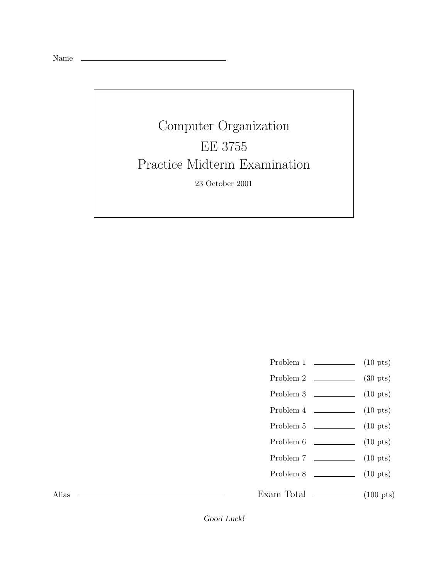|--|--|

## Computer Organization EE 3755 Practice Midterm Examination

23 October 2001

- Problem 1  $\qquad \qquad$  (10 pts)
- Problem 2  $\qquad \qquad$  (30 pts)
- Problem 3 (10 pts)
- Problem  $4 \t\t(10 \text{ pts})$
- Problem 5 (10 pts)
- Problem 6 (10 pts)
- Problem 7 (10 pts)
- Problem 8 (10 pts)

Exam Total  $\qquad \qquad (100 \text{ pts})$ 

Alias

Good Luck!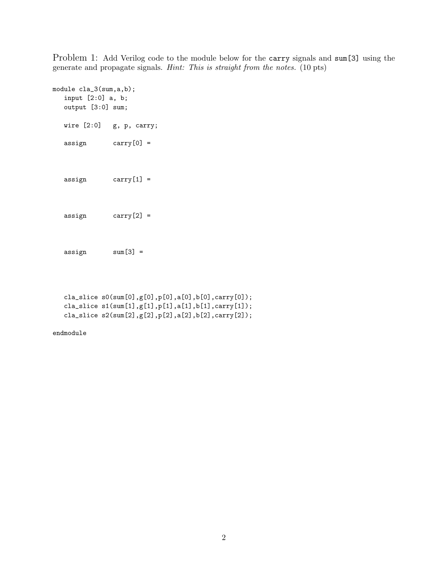Problem 1: Add Verilog code to the module below for the carry signals and sum[3] using the generate and propagate signals. *Hint: This is straight from the notes.* (10 pts)

```
module cla_3(sum,a,b);
  input [2:0] a, b;
  output [3:0] sum;
  wire [2:0] g, p, carry;
  assign carry[0] =
  assign carry[1] =
  assign carry[2] =
  assign sum[3] =
```

```
cla_slice s0(sum[0],g[0],p[0],a[0],b[0],carry[0]);cla_slice s1(sum[1],g[1],p[1],a[1],b[1],carry[1]);
cla_slice s2(sum[2],g[2],p[2],a[2],b[2],carry[2]);
```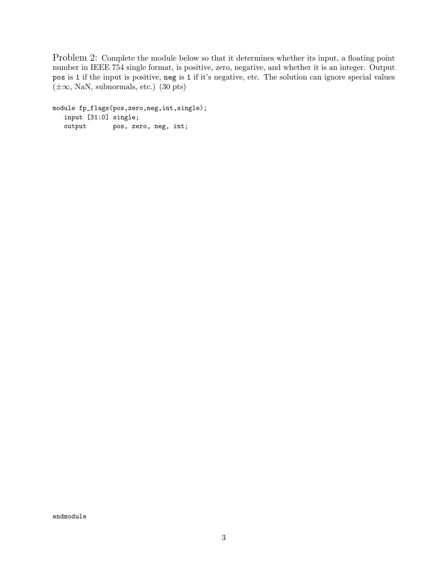Problem 2: Complete the module below so that it determines whether its input, a floating point number in IEEE 754 single format, is positive, zero, negative, and whether it is an integer. Output pos is 1 if the input is positive, neg is 1 if it's negative, etc. The solution can ignore special values  $(\pm\infty, \text{NaN}, \text{subnormals}, \text{etc.})$  (30 pts)

module fp\_flags(pos,zero,neg,int,single); input [31:0] single; output pos, zero, neg, int;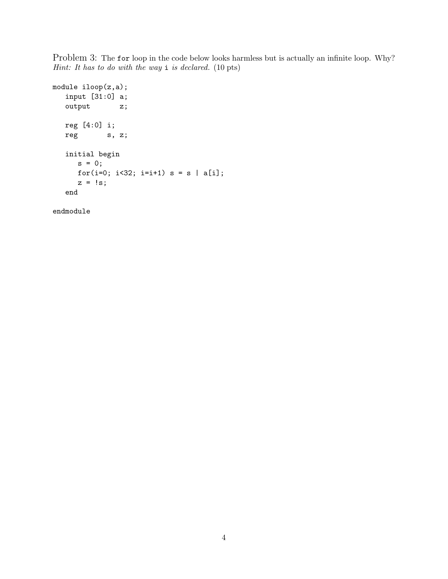Problem 3: The for loop in the code below looks harmless but is actually an infinite loop. Why? *Hint: It has to do with the way* i *is declared.* (10 pts)

```
module iloop(z,a);
  input [31:0] a;
  output z;
  reg [4:0] i;
  reg s, z;
  initial begin
     s = 0;for(i=0; i<32; i=i+1) s = s | a[i];z = !s;end
```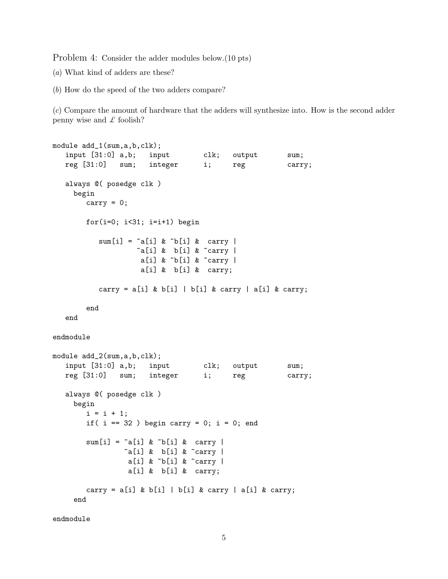Problem 4: Consider the adder modules below.(10 pts)

(*a*) What kind of adders are these?

(*b*) How do the speed of the two adders compare?

(*c*) Compare the amount of hardware that the adders will synthesize into. How is the second adder penny wise and *£* foolish?

```
module add_1(sum,a,b,clk);
   input [31:0] a,b; input clk; output sum;
  reg [31:0] sum; integer i; reg carry;
  always @( posedge clk )
     begin
        carry = 0;
        for(i=0; i<31; i=i+1) begin
           sum[i] = \infty[i] \& \infty b[i] \& \text{ carry}\tilde{a}[i] & b[i] & \tilde{c}carry |
                     a[i] &  \sim b[i] &  \sim carry |
                     a[i] & b[i] & carry;
           carry = a[i] & b[i] | b[i] & carry | a[i] & carry;
        end
   end
endmodule
module add_2(sum, a, b, clk);
   input [31:0] a,b; input clk; output sum;
  reg [31:0] sum; integer i; reg carry;
  always @( posedge clk )
     begin
        i = i + 1;
        if( i == 32 ) begin carry = 0; i = 0; end
        sum[i] = \tilde{a}[i] \& \tilde{b}[i] \& \text{carry}\tilde{a}[i] & b[i] & \tilde{c}carry |
                  a[i] & \tilde{b}[i] & \tilde{c} carry |
                  a[i] & b[i] & carry;
        carry = a[i] & b[i] | b[i] & carry | a[i] & carry;
     end
```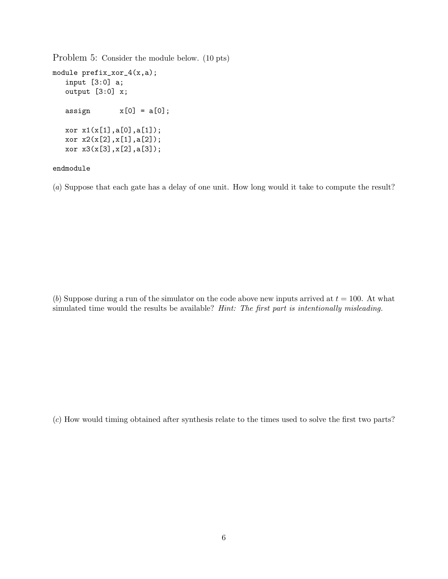Problem 5: Consider the module below. (10 pts)

```
module prefix_xor_4(x,a);
  input [3:0] a;
  output [3:0] x;
  assign x[0] = a[0];
  xor x1(x[1],a[0],a[1]);
  xor x2(x[2],x[1],a[2]);
  xor x3(x[3],x[2],a[3]);
```
## endmodule

(*a*) Suppose that each gate has a delay of one unit. How long would it take to compute the result?

(*b*) Suppose during a run of the simulator on the code above new inputs arrived at  $t = 100$ . At what simulated time would the results be available? *Hint: The first part is intentionally misleading.*

(*c*) How would timing obtained after synthesis relate to the times used to solve the first two parts?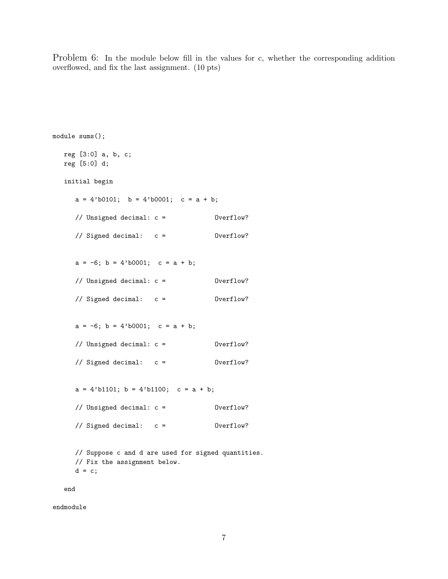Problem 6: In the module below fill in the values for c, whether the corresponding addition overflowed, and fix the last assignment. (10 pts)

```
module sums();
  reg [3:0] a, b, c;
  reg [5:0] d;
  initial begin
     a = 4'b0101; b = 4'b0001; c = a + b;
     // Unsigned decimal: c = Overflow?
     // Signed decimal: c = Overflow?
     a = -6; b = 4'b0001; c = a + b;
     // Unsigned decimal: c = Overflow?
     // Signed decimal: c = Overflow?
     a = -6; b = 4'b0001; c = a + b;
     // Unsigned decimal: c = Overflow?
     // Signed decimal: c = Overflow?
     a = 4'b1101; b = 4'b1100; c = a + b;
     // Unsigned decimal: c = Overflow?
     // Signed decimal: c = Overflow?
     // Suppose c and d are used for signed quantities.
     // Fix the assignment below.
     d = c;end
```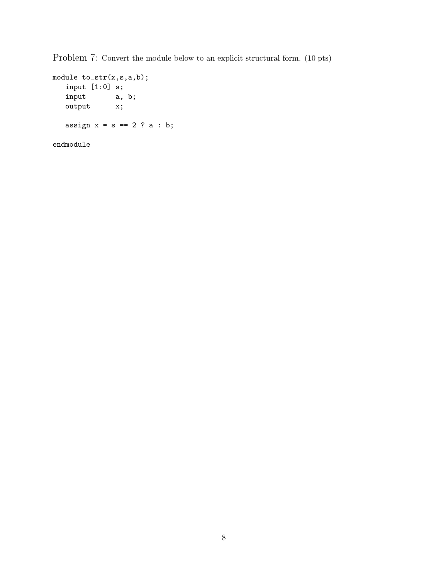Problem 7: Convert the module below to an explicit structural form. (10 pts)

```
module to_str(x,s,a,b);
   input [1:0] s;<br>input a,
                a, b;
   output x;
   assign x = s == 2 ? a : b;
endmodule
```